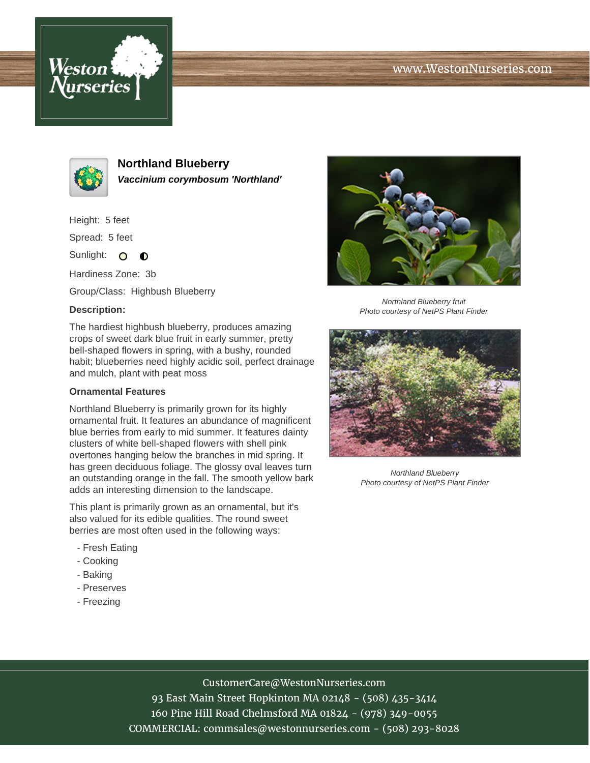# www.WestonNurseries.com





**Northland Blueberry Vaccinium corymbosum 'Northland'**

Height: 5 feet

Spread: 5 feet

Sunlight: O  $\bullet$ 

Hardiness Zone: 3b

Group/Class: Highbush Blueberry

### **Description:**

The hardiest highbush blueberry, produces amazing crops of sweet dark blue fruit in early summer, pretty bell-shaped flowers in spring, with a bushy, rounded habit; blueberries need highly acidic soil, perfect drainage and mulch, plant with peat moss

#### **Ornamental Features**

Northland Blueberry is primarily grown for its highly ornamental fruit. It features an abundance of magnificent blue berries from early to mid summer. It features dainty clusters of white bell-shaped flowers with shell pink overtones hanging below the branches in mid spring. It has green deciduous foliage. The glossy oval leaves turn an outstanding orange in the fall. The smooth yellow bark adds an interesting dimension to the landscape.

This plant is primarily grown as an ornamental, but it's also valued for its edible qualities. The round sweet berries are most often used in the following ways:

- Fresh Eating
- Cooking
- Baking
- Preserves
- Freezing



Northland Blueberry fruit Photo courtesy of NetPS Plant Finder



Northland Blueberry Photo courtesy of NetPS Plant Finder

# CustomerCare@WestonNurseries.com

93 East Main Street Hopkinton MA 02148 - (508) 435-3414 160 Pine Hill Road Chelmsford MA 01824 - (978) 349-0055 COMMERCIAL: commsales@westonnurseries.com - (508) 293-8028